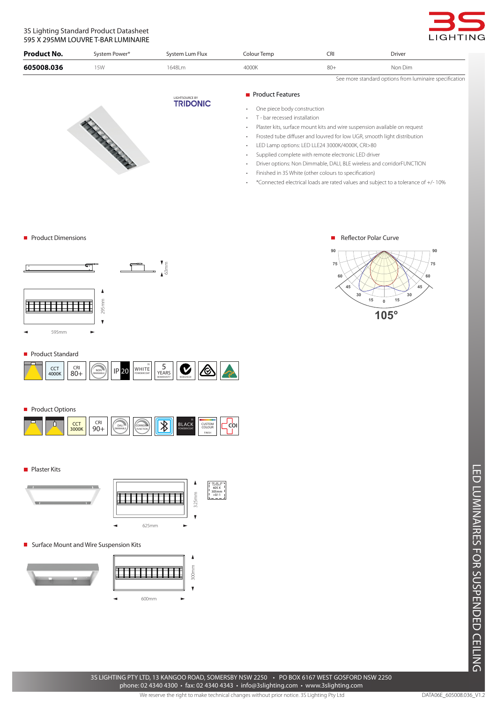# 3S Lighting Standard Product Datasheet 595 X 295MM LOUVRE T-BAR LUMINAIRE



| <b>Product No.</b> | System Power* | System Lum Flux | Colour Temp | CRI   | <b>Driver</b>                                          |  |  |
|--------------------|---------------|-----------------|-------------|-------|--------------------------------------------------------|--|--|
| 605008.036         | 15W           | 1648Lm          | 4000K       | $80+$ | Non Dim                                                |  |  |
|                    |               |                 |             |       | See more standard options from luminaire specification |  |  |

LIGHTSOURCE BY<br>**TRIDONIC** North Property of

# **Product Features**

- One piece body construction
- • T bar recessed installation
- Plaster kits, surface mount kits and wire suspension available on request
- Frosted tube diffuser and louvred for low UGR, smooth light distribution
- LED Lamp options: LED LLE24 3000K/4000K, CRI>80
- Supplied complete with remote electronic LED driver
- • Driver options: Non Dimmable, DALI, BLE wireless and corridorFUNCTION

п

- Finished in 3S White (other colours to specification)
- • \*Connected electrical loads are rated values and subject to a tolerance of +/- 10%

#### **Product Dimensions**





**105°**

**90**

Reflector Polar Curve

#### Product Standard



## **Product Options**



**Plaster Kits** 



**Surface Mount and Wire Suspension Kits** 



LED LUMINAIRES FOR SUSPENDED CEILING LED LUMINAIRES FOR SUSPENDED CEILING

3S LIGHTING PTY LTD, 13 KANGOO ROAD, SOMERSBY NSW 2250 • PO BOX 6167 WEST GOSFORD NSW 2250 phone: 02 4340 4300 • fax: 02 4340 4343 • info@3slighting.com • www.3slighting.com

We reserve the right to make technical changes without prior notice. 3S Lighting Pty Ltd